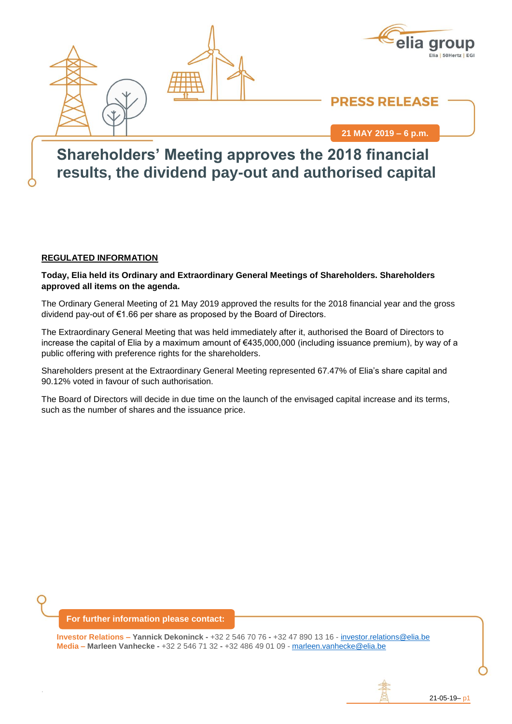



## **PRESS RELEASE**

**21 MAY 2019 – 6 p.m.**

## **6SEPTEMBER 2018 Shareholders' Meeting approves the 2018 financial results, the dividend pay-out and authorised capital**

#### **REGULATED INFORMATION**

**Today, Elia held its Ordinary and Extraordinary General Meetings of Shareholders. Shareholders approved all items on the agenda.**

The Ordinary General Meeting of 21 May 2019 approved the results for the 2018 financial year and the gross dividend pay-out of €1.66 per share as proposed by the Board of Directors.

The Extraordinary General Meeting that was held immediately after it, authorised the Board of Directors to increase the capital of Elia by a maximum amount of €435,000,000 (including issuance premium), by way of a public offering with preference rights for the shareholders.

Shareholders present at the Extraordinary General Meeting represented 67.47% of Elia's share capital and 90.12% voted in favour of such authorisation.

The Board of Directors will decide in due time on the launch of the envisaged capital increase and its terms, such as the number of shares and the issuance price.

#### **For further information please contact:**

.

**Investor Relations – Yannick Dekoninck -** +32 2 546 70 76 **-** +32 47 890 13 16 - [investor.relations@elia.be](mailto:investor.relations@elia.be) **Media – Marleen Vanhecke -** +32 2 546 71 32 **-** +32 486 49 01 09 - [marleen.vanhecke@elia.be](mailto:marleen.vanhecke@elia.be)